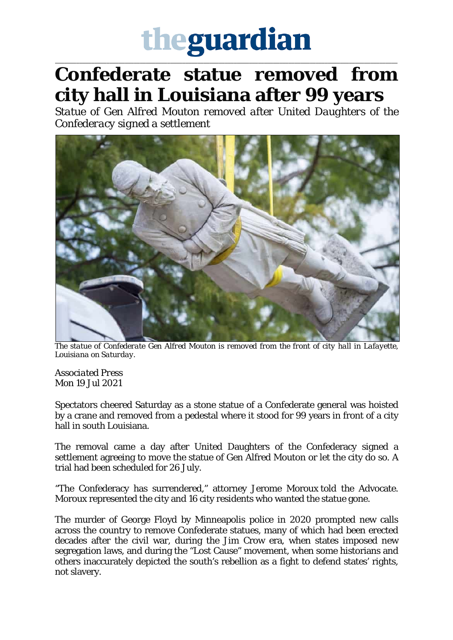## theguardian

\_\_\_\_\_\_\_\_\_\_\_\_\_\_\_\_\_\_\_\_\_\_\_\_\_\_\_\_\_\_\_\_\_\_\_\_\_\_\_\_\_\_\_\_\_\_\_\_\_\_\_\_\_\_\_\_\_\_\_\_\_\_\_\_\_\_\_\_\_\_\_\_\_\_\_\_\_\_\_\_\_\_\_\_\_\_\_\_\_\_\_\_\_\_\_\_\_\_\_\_\_\_\_\_\_\_\_\_\_\_\_\_\_

## **Confederate statue removed from city hall in Louisiana after 99 years**

*Statue of Gen Alfred Mouton removed after United Daughters of the Confederacy signed a settlement*



*The statue of Confederate Gen Alfred Mouton is removed from the front of city hall in Lafayette, Louisiana on Saturday.*

*Associated Press* Mon 19 Jul 2021

Spectators cheered Saturday as a stone statue of a Confederate general was hoisted by a crane and removed from a pedestal where it stood for 99 years in front of a city hall in south Louisiana.

The removal came a day after United Daughters of the Confederacy signed a settlement agreeing to move the statue of Gen Alfred Mouton or let the city do so. A trial had been scheduled for 26 July.

"The Confederacy has surrendered," attorney Jerome Moroux told the Advocate. Moroux represented the city and 16 city residents who wanted the statue gone.

The murder of George Floyd by Minneapolis police in 2020 prompted new calls across the country to remove Confederate statues, many of which had been erected decades after the civil war, during the Jim Crow era, when states imposed new segregation laws, and during the "Lost Cause" movement, when some historians and others inaccurately depicted the south's rebellion as a fight to defend states' rights, not slavery.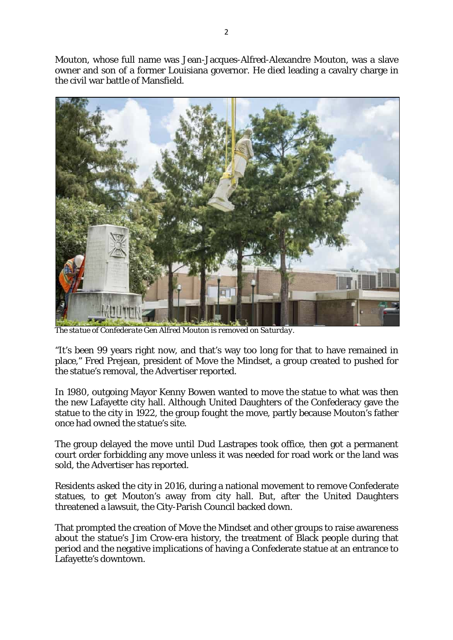Mouton, whose full name was Jean-Jacques-Alfred-Alexandre Mouton, was a slave owner and son of a former Louisiana governor. He died leading a cavalry charge in the civil war battle of Mansfield.



*The statue of Confederate Gen Alfred Mouton is removed on Saturday.*

"It's been 99 years right now, and that's way too long for that to have remained in place," Fred Prejean, president of Move the Mindset, a group created to pushed for the statue's removal, the Advertiser reported.

In 1980, outgoing Mayor Kenny Bowen wanted to move the statue to what was then the new Lafayette city hall. Although United Daughters of the Confederacy gave the statue to the city in 1922, the group fought the move, partly because Mouton's father once had owned the statue's site.

The group delayed the move until Dud Lastrapes took office, then got a permanent court order forbidding any move unless it was needed for road work or the land was sold, the Advertiser has reported.

Residents asked the city in 2016, during a national movement to remove Confederate statues, to get Mouton's away from city hall. But, after the United Daughters threatened a lawsuit, the City-Parish Council backed down.

That prompted the creation of Move the Mindset and other groups to raise awareness about the statue's Jim Crow-era history, the treatment of Black people during that period and the negative implications of having a Confederate statue at an entrance to Lafayette's downtown.